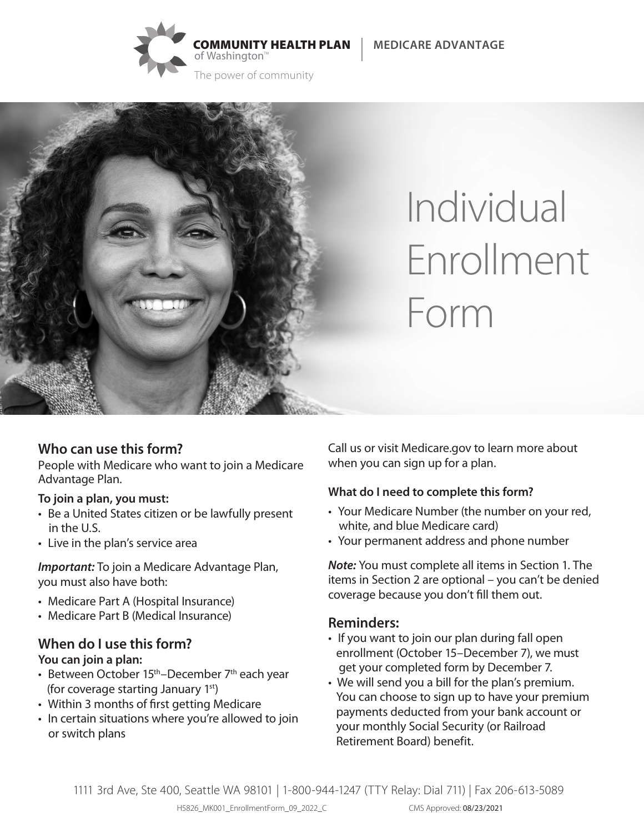





# Individual Enrollment Form

## **Who can use this form?**

People with Medicare who want to join a Medicare Advantage Plan.

#### **To join a plan, you must:**

- Be a United States citizen or be lawfully present in the U.S.
- Live in the plan's service area

*Important:* To join a Medicare Advantage Plan, you must also have both:

- Medicare Part A (Hospital Insurance)
- Medicare Part B (Medical Insurance)

#### **When do I use this form? You can join a plan:**

- Between October  $15<sup>th</sup>$ –December  $7<sup>th</sup>$  each year (for coverage starting January 1<sup>st</sup>)
- Within 3 months of first getting Medicare
- In certain situations where you're allowed to join or switch plans

Call us or visit Medicare.gov to learn more about when you can sign up for a plan.

## **What do I need to complete this form?**

- Your Medicare Number (the number on your red, white, and blue Medicare card)
- Your permanent address and phone number

*Note:* You must complete all items in Section 1. The items in Section 2 are optional – you can't be denied coverage because you don't fill them out.

## **Reminders:**

- If you want to join our plan during fall open enrollment (October 15–December 7), we must get your completed form by December 7.
- We will send you a bill for the plan's premium. You can choose to sign up to have your premium payments deducted from your bank account or your monthly Social Security (or Railroad Retirement Board) benefit.

1111 3rd Ave, Ste 400, Seattle WA 98101 | 1-800-944-1247 (TTY Relay: Dial 711) | Fax 206-613-5089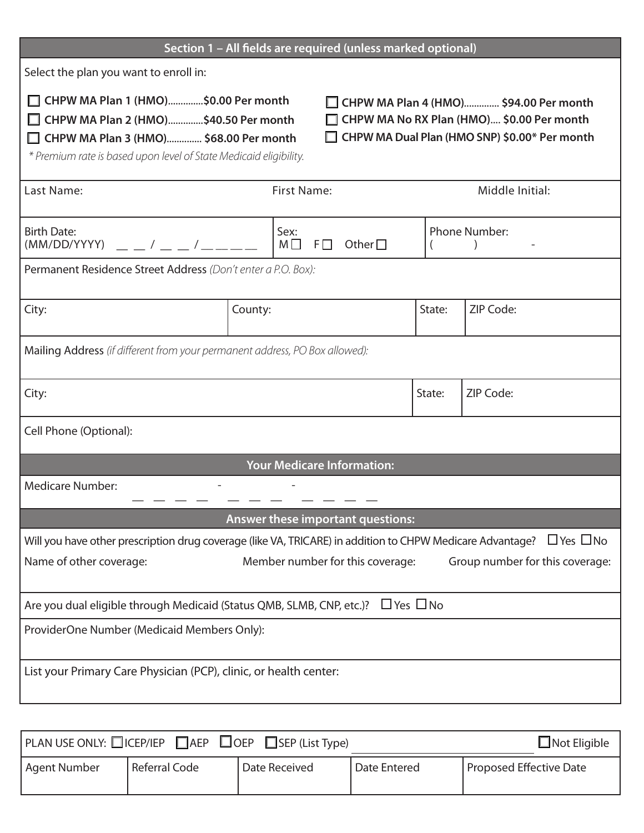| Section 1 - All fields are required (unless marked optional)                                                                                                                                                                                                                                                                                 |                    |                                           |                 |                      |  |  |
|----------------------------------------------------------------------------------------------------------------------------------------------------------------------------------------------------------------------------------------------------------------------------------------------------------------------------------------------|--------------------|-------------------------------------------|-----------------|----------------------|--|--|
| Select the plan you want to enroll in:                                                                                                                                                                                                                                                                                                       |                    |                                           |                 |                      |  |  |
| □ CHPW MA Plan 1 (HMO)\$0.00 Per month<br>CHPW MA Plan 4 (HMO) \$94.00 Per month<br>□ CHPW MA Plan 2 (HMO)\$40.50 Per month<br>□ CHPW MA No RX Plan (HMO) \$0.00 Per month<br>CHPW MA Dual Plan (HMO SNP) \$0.00* Per month<br>□ CHPW MA Plan 3 (HMO) \$68.00 Per month<br>* Premium rate is based upon level of State Medicaid eligibility. |                    |                                           |                 |                      |  |  |
| Last Name:                                                                                                                                                                                                                                                                                                                                   | <b>First Name:</b> |                                           | Middle Initial: |                      |  |  |
| <b>Birth Date:</b><br>$(MM/DD/YYYY)$ $  /$ $  /$ $  -$                                                                                                                                                                                                                                                                                       |                    | Sex:<br>$M \Box$ F $\Box$<br>Other $\Box$ |                 | <b>Phone Number:</b> |  |  |
| Permanent Residence Street Address (Don't enter a P.O. Box):                                                                                                                                                                                                                                                                                 |                    |                                           |                 |                      |  |  |
| City:                                                                                                                                                                                                                                                                                                                                        | County:            |                                           | State:          | ZIP Code:            |  |  |
| Mailing Address (if different from your permanent address, PO Box allowed):                                                                                                                                                                                                                                                                  |                    |                                           |                 |                      |  |  |
| City:                                                                                                                                                                                                                                                                                                                                        |                    |                                           | State:          | ZIP Code:            |  |  |
| Cell Phone (Optional):                                                                                                                                                                                                                                                                                                                       |                    |                                           |                 |                      |  |  |
| <b>Your Medicare Information:</b>                                                                                                                                                                                                                                                                                                            |                    |                                           |                 |                      |  |  |
| <b>Medicare Number:</b>                                                                                                                                                                                                                                                                                                                      |                    |                                           |                 |                      |  |  |
| Answer these important questions:                                                                                                                                                                                                                                                                                                            |                    |                                           |                 |                      |  |  |
| Will you have other prescription drug coverage (like VA, TRICARE) in addition to CHPW Medicare Advantage?<br>$\Box$ Yes $\Box$ No                                                                                                                                                                                                            |                    |                                           |                 |                      |  |  |
| Name of other coverage:<br>Member number for this coverage:<br>Group number for this coverage:                                                                                                                                                                                                                                               |                    |                                           |                 |                      |  |  |
| Are you dual eligible through Medicaid (Status QMB, SLMB, CNP, etc.)? $\Box$ Yes $\Box$ No                                                                                                                                                                                                                                                   |                    |                                           |                 |                      |  |  |
| ProviderOne Number (Medicaid Members Only):                                                                                                                                                                                                                                                                                                  |                    |                                           |                 |                      |  |  |
| List your Primary Care Physician (PCP), clinic, or health center:                                                                                                                                                                                                                                                                            |                    |                                           |                 |                      |  |  |
|                                                                                                                                                                                                                                                                                                                                              |                    |                                           |                 |                      |  |  |

|              | $ $ PLAN USE ONLY: $\Box$ ICEP/IEP $\Box$ AEP $\Box$ OEP $\Box$ SEP (List Type) |               |              | $\Box$ Not Eligible     |
|--------------|---------------------------------------------------------------------------------|---------------|--------------|-------------------------|
| Agent Number | Referral Code                                                                   | Date Received | Date Entered | Proposed Effective Date |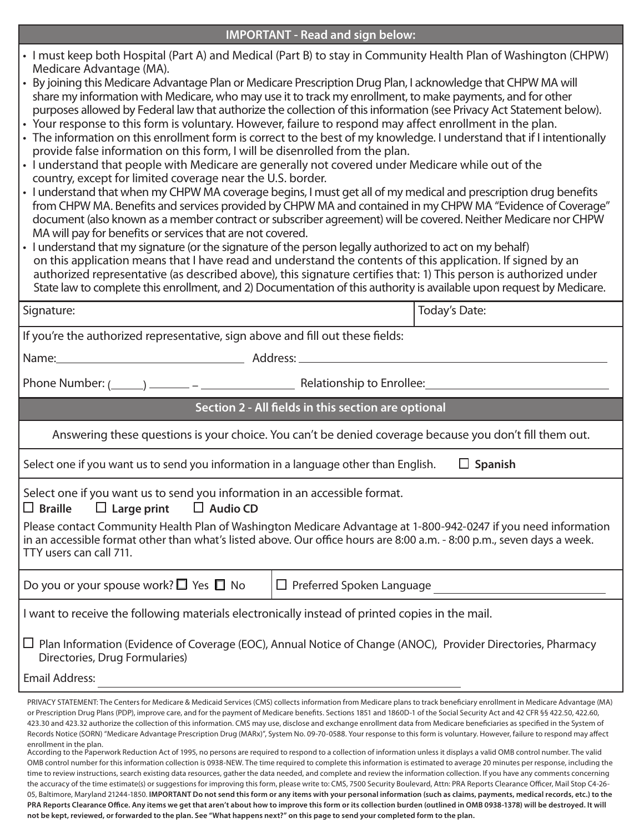| • I must keep both Hospital (Part A) and Medical (Part B) to stay in Community Health Plan of Washington (CHPW)<br>Medicare Advantage (MA).<br>• By joining this Medicare Advantage Plan or Medicare Prescription Drug Plan, I acknowledge that CHPW MA will<br>share my information with Medicare, who may use it to track my enrollment, to make payments, and for other<br>purposes allowed by Federal law that authorize the collection of this information (see Privacy Act Statement below).<br>• Your response to this form is voluntary. However, failure to respond may affect enrollment in the plan.<br>• The information on this enrollment form is correct to the best of my knowledge. I understand that if I intentionally<br>provide false information on this form, I will be disenrolled from the plan.<br>• I understand that people with Medicare are generally not covered under Medicare while out of the<br>country, except for limited coverage near the U.S. border.<br>• I understand that when my CHPW MA coverage begins, I must get all of my medical and prescription drug benefits<br>from CHPW MA. Benefits and services provided by CHPW MA and contained in my CHPW MA "Evidence of Coverage"<br>document (also known as a member contract or subscriber agreement) will be covered. Neither Medicare nor CHPW<br>MA will pay for benefits or services that are not covered.<br>• I understand that my signature (or the signature of the person legally authorized to act on my behalf)<br>on this application means that I have read and understand the contents of this application. If signed by an<br>authorized representative (as described above), this signature certifies that: 1) This person is authorized under<br>State law to complete this enrollment, and 2) Documentation of this authority is available upon request by Medicare. |                                                     |               |  |  |  |
|----------------------------------------------------------------------------------------------------------------------------------------------------------------------------------------------------------------------------------------------------------------------------------------------------------------------------------------------------------------------------------------------------------------------------------------------------------------------------------------------------------------------------------------------------------------------------------------------------------------------------------------------------------------------------------------------------------------------------------------------------------------------------------------------------------------------------------------------------------------------------------------------------------------------------------------------------------------------------------------------------------------------------------------------------------------------------------------------------------------------------------------------------------------------------------------------------------------------------------------------------------------------------------------------------------------------------------------------------------------------------------------------------------------------------------------------------------------------------------------------------------------------------------------------------------------------------------------------------------------------------------------------------------------------------------------------------------------------------------------------------------------------------------------------------------------------------------------------------------------------------------------|-----------------------------------------------------|---------------|--|--|--|
| Signature:                                                                                                                                                                                                                                                                                                                                                                                                                                                                                                                                                                                                                                                                                                                                                                                                                                                                                                                                                                                                                                                                                                                                                                                                                                                                                                                                                                                                                                                                                                                                                                                                                                                                                                                                                                                                                                                                             |                                                     | Today's Date: |  |  |  |
| If you're the authorized representative, sign above and fill out these fields:                                                                                                                                                                                                                                                                                                                                                                                                                                                                                                                                                                                                                                                                                                                                                                                                                                                                                                                                                                                                                                                                                                                                                                                                                                                                                                                                                                                                                                                                                                                                                                                                                                                                                                                                                                                                         |                                                     |               |  |  |  |
|                                                                                                                                                                                                                                                                                                                                                                                                                                                                                                                                                                                                                                                                                                                                                                                                                                                                                                                                                                                                                                                                                                                                                                                                                                                                                                                                                                                                                                                                                                                                                                                                                                                                                                                                                                                                                                                                                        |                                                     |               |  |  |  |
| Phone Number: (1000) 2000 - 2000 - 2000 - 2000 - 2010 - 2010 - 2010 - 2010 - 2010 - 2010 - 2010 - 2010 - 2010                                                                                                                                                                                                                                                                                                                                                                                                                                                                                                                                                                                                                                                                                                                                                                                                                                                                                                                                                                                                                                                                                                                                                                                                                                                                                                                                                                                                                                                                                                                                                                                                                                                                                                                                                                          |                                                     |               |  |  |  |
|                                                                                                                                                                                                                                                                                                                                                                                                                                                                                                                                                                                                                                                                                                                                                                                                                                                                                                                                                                                                                                                                                                                                                                                                                                                                                                                                                                                                                                                                                                                                                                                                                                                                                                                                                                                                                                                                                        | Section 2 - All fields in this section are optional |               |  |  |  |
| Answering these questions is your choice. You can't be denied coverage because you don't fill them out.                                                                                                                                                                                                                                                                                                                                                                                                                                                                                                                                                                                                                                                                                                                                                                                                                                                                                                                                                                                                                                                                                                                                                                                                                                                                                                                                                                                                                                                                                                                                                                                                                                                                                                                                                                                |                                                     |               |  |  |  |
| $\Box$ Spanish<br>Select one if you want us to send you information in a language other than English.                                                                                                                                                                                                                                                                                                                                                                                                                                                                                                                                                                                                                                                                                                                                                                                                                                                                                                                                                                                                                                                                                                                                                                                                                                                                                                                                                                                                                                                                                                                                                                                                                                                                                                                                                                                  |                                                     |               |  |  |  |
| Select one if you want us to send you information in an accessible format.<br>$\Box$ Braille $\Box$ Large print $\Box$ Audio CD                                                                                                                                                                                                                                                                                                                                                                                                                                                                                                                                                                                                                                                                                                                                                                                                                                                                                                                                                                                                                                                                                                                                                                                                                                                                                                                                                                                                                                                                                                                                                                                                                                                                                                                                                        |                                                     |               |  |  |  |
| Please contact Community Health Plan of Washington Medicare Advantage at 1-800-942-0247 if you need information<br>in an accessible format other than what's listed above. Our office hours are 8:00 a.m. - 8:00 p.m., seven days a week.<br>TTY users can call 711.                                                                                                                                                                                                                                                                                                                                                                                                                                                                                                                                                                                                                                                                                                                                                                                                                                                                                                                                                                                                                                                                                                                                                                                                                                                                                                                                                                                                                                                                                                                                                                                                                   |                                                     |               |  |  |  |
|                                                                                                                                                                                                                                                                                                                                                                                                                                                                                                                                                                                                                                                                                                                                                                                                                                                                                                                                                                                                                                                                                                                                                                                                                                                                                                                                                                                                                                                                                                                                                                                                                                                                                                                                                                                                                                                                                        |                                                     |               |  |  |  |
| Do you or your spouse work? $\Box$ Yes $\Box$ No                                                                                                                                                                                                                                                                                                                                                                                                                                                                                                                                                                                                                                                                                                                                                                                                                                                                                                                                                                                                                                                                                                                                                                                                                                                                                                                                                                                                                                                                                                                                                                                                                                                                                                                                                                                                                                       | $\Box$ Preferred Spoken Language                    |               |  |  |  |
| I want to receive the following materials electronically instead of printed copies in the mail.                                                                                                                                                                                                                                                                                                                                                                                                                                                                                                                                                                                                                                                                                                                                                                                                                                                                                                                                                                                                                                                                                                                                                                                                                                                                                                                                                                                                                                                                                                                                                                                                                                                                                                                                                                                        |                                                     |               |  |  |  |
| Plan Information (Evidence of Coverage (EOC), Annual Notice of Change (ANOC), Provider Directories, Pharmacy<br>⊔<br>Directories, Drug Formularies)                                                                                                                                                                                                                                                                                                                                                                                                                                                                                                                                                                                                                                                                                                                                                                                                                                                                                                                                                                                                                                                                                                                                                                                                                                                                                                                                                                                                                                                                                                                                                                                                                                                                                                                                    |                                                     |               |  |  |  |
| <b>Email Address:</b>                                                                                                                                                                                                                                                                                                                                                                                                                                                                                                                                                                                                                                                                                                                                                                                                                                                                                                                                                                                                                                                                                                                                                                                                                                                                                                                                                                                                                                                                                                                                                                                                                                                                                                                                                                                                                                                                  |                                                     |               |  |  |  |

control number for this information collection is 0938-NEW. The time required to complete this information is estimated to average 20 minutes per response, including the time to review instructions, search existing data resources, gather the data needed, and complete and review the information collection. If you have any comments concerning the accuracy of the time estimate(s) or suggestions for improving this form, please write to: CMS, 7500 Security Boulevard, Attn: PRA Reports Clearance Officer, Mail Stop C4-26- 05, Baltimore, Maryland 21244-1850. **IMPORTANT Do not send this form or any items with your personal information (such as claims, payments, medical records, etc.) to the PRA Reports Clearance Office. Any items we get that aren't about how to improve this form or its collection burden (outlined in OMB 0938-1378) will be destroyed. It will not be kept, reviewed, or forwarded to the plan. See "What happens next?" on this page to send your completed form to the plan.**

#### **IMPORTANT - Read and sign below:**